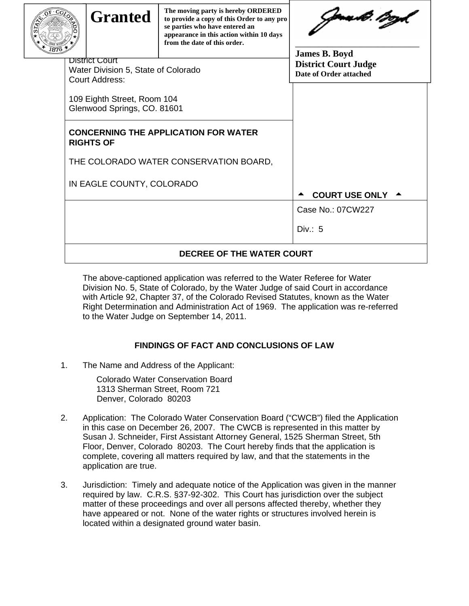| <b>Granted</b>                                                                 | The moving party is hereby ORDERED<br>to provide a copy of this Order to any pro<br>se parties who have entered an<br>appearance in this action within 10 days<br>from the date of this order. | Jana dt ?!??<br><b>James B. Boyd</b> |
|--------------------------------------------------------------------------------|------------------------------------------------------------------------------------------------------------------------------------------------------------------------------------------------|--------------------------------------|
| District Court<br>Water Division 5, State of Colorado<br><b>Court Address:</b> | <b>District Court Judge</b><br>Date of Order attached                                                                                                                                          |                                      |
| 109 Eighth Street, Room 104<br>Glenwood Springs, CO. 81601                     |                                                                                                                                                                                                |                                      |
| <b>RIGHTS OF</b>                                                               | <b>CONCERNING THE APPLICATION FOR WATER</b>                                                                                                                                                    |                                      |
|                                                                                | THE COLORADO WATER CONSERVATION BOARD,                                                                                                                                                         |                                      |
| IN EAGLE COUNTY, COLORADO                                                      | COURT USE ONLY 4                                                                                                                                                                               |                                      |
|                                                                                |                                                                                                                                                                                                | Case No.: 07CW227                    |
|                                                                                |                                                                                                                                                                                                | Div: 5                               |
|                                                                                | DECREE OF THE WATER COURT                                                                                                                                                                      |                                      |

The above-captioned application was referred to the Water Referee for Water Division No. 5, State of Colorado, by the Water Judge of said Court in accordance with Article 92, Chapter 37, of the Colorado Revised Statutes, known as the Water Right Determination and Administration Act of 1969. The application was re-referred to the Water Judge on September 14, 2011.

## **FINDINGS OF FACT AND CONCLUSIONS OF LAW**

1. The Name and Address of the Applicant:

Colorado Water Conservation Board 1313 Sherman Street, Room 721 Denver, Colorado 80203

- 2. Application:The Colorado Water Conservation Board ("CWCB") filed the Application in this case on December 26, 2007. The CWCB is represented in this matter by Susan J. Schneider, First Assistant Attorney General, 1525 Sherman Street, 5th Floor, Denver, Colorado 80203. The Court hereby finds that the application is complete, covering all matters required by law, and that the statements in the application are true.
- 3. Jurisdiction:Timely and adequate notice of the Application was given in the manner required by law. C.R.S. §37-92-302. This Court has jurisdiction over the subject matter of these proceedings and over all persons affected thereby, whether they have appeared or not. None of the water rights or structures involved herein is located within a designated ground water basin.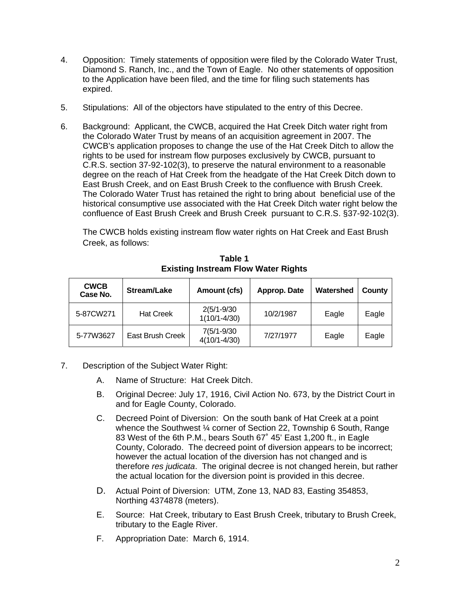- 4. Opposition: Timely statements of opposition were filed by the Colorado Water Trust, Diamond S. Ranch, Inc., and the Town of Eagle. No other statements of opposition to the Application have been filed, and the time for filing such statements has expired.
- 5. Stipulations:All of the objectors have stipulated to the entry of this Decree.
- 6. Background:Applicant, the CWCB, acquired the Hat Creek Ditch water right from the Colorado Water Trust by means of an acquisition agreement in 2007. The CWCB's application proposes to change the use of the Hat Creek Ditch to allow the rights to be used for instream flow purposes exclusively by CWCB, pursuant to C.R.S. section 37-92-102(3), to preserve the natural environment to a reasonable degree on the reach of Hat Creek from the headgate of the Hat Creek Ditch down to East Brush Creek, and on East Brush Creek to the confluence with Brush Creek. The Colorado Water Trust has retained the right to bring about beneficial use of the historical consumptive use associated with the Hat Creek Ditch water right below the confluence of East Brush Creek and Brush Creek pursuant to C.R.S. §37-92-102(3).

The CWCB holds existing instream flow water rights on Hat Creek and East Brush Creek, as follows:

| <b>CWCB</b><br>Stream/Lake<br>Case No. |                  | Amount (cfs)                        | Approp. Date | Watershed | County |
|----------------------------------------|------------------|-------------------------------------|--------------|-----------|--------|
| 5-87CW271                              | <b>Hat Creek</b> | $2(5/1 - 9/30)$<br>$1(10/1 - 4/30)$ | 10/2/1987    | Eagle     | Eagle  |
| 5-77W3627                              | East Brush Creek | $7(5/1-9/30)$<br>$4(10/1 - 4/30)$   | 7/27/1977    | Eagle     | Eagle  |

**Table 1 Existing Instream Flow Water Rights** 

- 7. Description of the Subject Water Right:
	- A. Name of Structure:Hat Creek Ditch.
	- B. Original Decree: July 17, 1916, Civil Action No. 673, by the District Court in and for Eagle County, Colorado.
	- C. Decreed Point of Diversion: On the south bank of Hat Creek at a point whence the Southwest ¼ corner of Section 22, Township 6 South, Range 83 West of the 6th P.M., bears South 67˚ 45' East 1,200 ft., in Eagle County, Colorado. The decreed point of diversion appears to be incorrect; however the actual location of the diversion has not changed and is therefore *res judicata*. The original decree is not changed herein, but rather the actual location for the diversion point is provided in this decree.
	- D. Actual Point of Diversion: UTM, Zone 13, NAD 83, Easting 354853, Northing 4374878 (meters).
	- E. Source: Hat Creek, tributary to East Brush Creek, tributary to Brush Creek, tributary to the Eagle River.
	- F. Appropriation Date: March 6, 1914.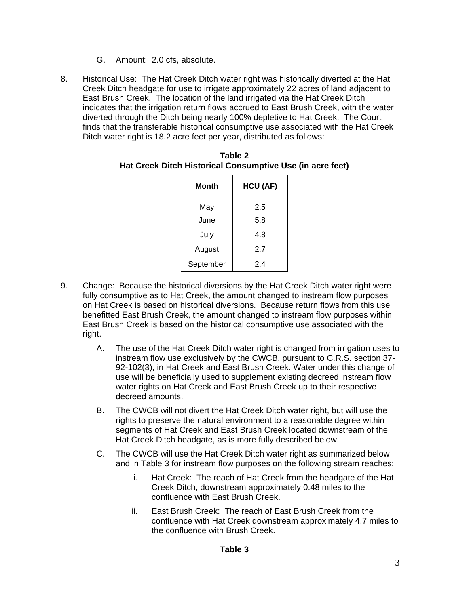- G. Amount: 2.0 cfs, absolute.
- 8. Historical Use: The Hat Creek Ditch water right was historically diverted at the Hat Creek Ditch headgate for use to irrigate approximately 22 acres of land adjacent to East Brush Creek. The location of the land irrigated via the Hat Creek Ditch indicates that the irrigation return flows accrued to East Brush Creek, with the water diverted through the Ditch being nearly 100% depletive to Hat Creek. The Court finds that the transferable historical consumptive use associated with the Hat Creek Ditch water right is 18.2 acre feet per year, distributed as follows:

| Month     | HCU (AF) |  |  |  |
|-----------|----------|--|--|--|
| May       | 2.5      |  |  |  |
| June      | 5.8      |  |  |  |
| July      | 4.8      |  |  |  |
| August    | 2.7      |  |  |  |
| September | 2.4      |  |  |  |

| Table 2                                                   |  |  |  |  |  |
|-----------------------------------------------------------|--|--|--|--|--|
| Hat Creek Ditch Historical Consumptive Use (in acre feet) |  |  |  |  |  |

- 9. Change:Because the historical diversions by the Hat Creek Ditch water right were fully consumptive as to Hat Creek, the amount changed to instream flow purposes on Hat Creek is based on historical diversions. Because return flows from this use benefitted East Brush Creek, the amount changed to instream flow purposes within East Brush Creek is based on the historical consumptive use associated with the right.
	- A. The use of the Hat Creek Ditch water right is changed from irrigation uses to instream flow use exclusively by the CWCB, pursuant to C.R.S. section 37- 92-102(3), in Hat Creek and East Brush Creek. Water under this change of use will be beneficially used to supplement existing decreed instream flow water rights on Hat Creek and East Brush Creek up to their respective decreed amounts.
	- B. The CWCB will not divert the Hat Creek Ditch water right, but will use the rights to preserve the natural environment to a reasonable degree within segments of Hat Creek and East Brush Creek located downstream of the Hat Creek Ditch headgate, as is more fully described below.
	- C. The CWCB will use the Hat Creek Ditch water right as summarized below and in Table 3 for instream flow purposes on the following stream reaches:
		- i. Hat Creek: The reach of Hat Creek from the headgate of the Hat Creek Ditch, downstream approximately 0.48 miles to the confluence with East Brush Creek.
		- ii. East Brush Creek: The reach of East Brush Creek from the confluence with Hat Creek downstream approximately 4.7 miles to the confluence with Brush Creek.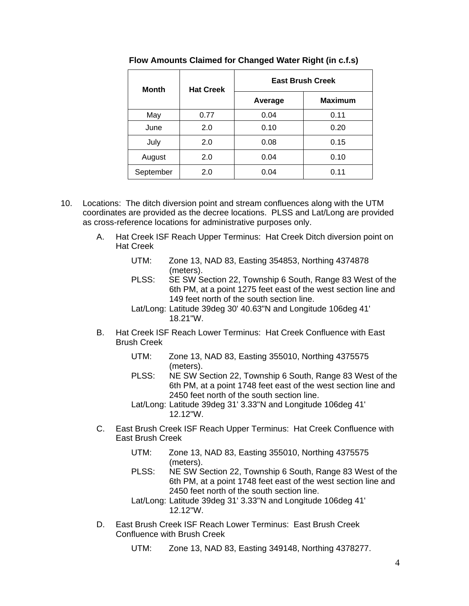| <b>Month</b> | <b>Hat Creek</b> | <b>East Brush Creek</b> |                |  |  |
|--------------|------------------|-------------------------|----------------|--|--|
|              |                  | Average                 | <b>Maximum</b> |  |  |
| May          | 0.77             | 0.04                    | 0.11           |  |  |
| June         | 2.0              | 0.10                    | 0.20           |  |  |
| July         | 2.0              | 0.08                    | 0.15           |  |  |
| August       | 2.0              | 0.04                    | 0.10           |  |  |
| September    | 2.0              | 0.04                    | 0.11           |  |  |

 **Flow Amounts Claimed for Changed Water Right (in c.f.s)** 

- 10. Locations: The ditch diversion point and stream confluences along with the UTM coordinates are provided as the decree locations. PLSS and Lat/Long are provided as cross-reference locations for administrative purposes only.
	- A. Hat Creek ISF Reach Upper Terminus: Hat Creek Ditch diversion point on Hat Creek
		- UTM: Zone 13, NAD 83, Easting 354853, Northing 4374878 (meters).
		- PLSS: SE SW Section 22, Township 6 South, Range 83 West of the 6th PM, at a point 1275 feet east of the west section line and 149 feet north of the south section line.
		- Lat/Long: Latitude 39deg 30' 40.63"N and Longitude 106deg 41' 18.21"W.
	- B. Hat Creek ISF Reach Lower Terminus: Hat Creek Confluence with East Brush Creek
		- UTM: Zone 13, NAD 83, Easting 355010, Northing 4375575 (meters).
		- PLSS: NE SW Section 22, Township 6 South, Range 83 West of the 6th PM, at a point 1748 feet east of the west section line and 2450 feet north of the south section line.
		- Lat/Long: Latitude 39deg 31' 3.33"N and Longitude 106deg 41' 12.12"W.
	- C. East Brush Creek ISF Reach Upper Terminus: Hat Creek Confluence with East Brush Creek
		- UTM: Zone 13, NAD 83, Easting 355010, Northing 4375575 (meters).
		- PLSS: NE SW Section 22, Township 6 South, Range 83 West of the 6th PM, at a point 1748 feet east of the west section line and 2450 feet north of the south section line.
		- Lat/Long: Latitude 39deg 31' 3.33"N and Longitude 106deg 41' 12.12"W.
	- D. East Brush Creek ISF Reach Lower Terminus: East Brush Creek Confluence with Brush Creek

UTM: Zone 13, NAD 83, Easting 349148, Northing 4378277.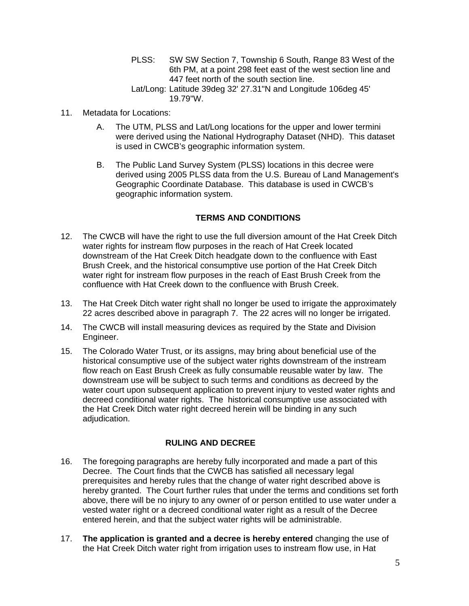- PLSS: SW SW Section 7, Township 6 South, Range 83 West of the 6th PM, at a point 298 feet east of the west section line and 447 feet north of the south section line.
- Lat/Long: Latitude 39deg 32' 27.31"N and Longitude 106deg 45' 19.79"W.
- 11. Metadata for Locations:
	- A. The UTM, PLSS and Lat/Long locations for the upper and lower termini were derived using the National Hydrography Dataset (NHD). This dataset is used in CWCB's geographic information system.
	- B. The Public Land Survey System (PLSS) locations in this decree were derived using 2005 PLSS data from the U.S. Bureau of Land Management's Geographic Coordinate Database. This database is used in CWCB's geographic information system.

## **TERMS AND CONDITIONS**

- 12. The CWCB will have the right to use the full diversion amount of the Hat Creek Ditch water rights for instream flow purposes in the reach of Hat Creek located downstream of the Hat Creek Ditch headgate down to the confluence with East Brush Creek, and the historical consumptive use portion of the Hat Creek Ditch water right for instream flow purposes in the reach of East Brush Creek from the confluence with Hat Creek down to the confluence with Brush Creek.
- 13. The Hat Creek Ditch water right shall no longer be used to irrigate the approximately 22 acres described above in paragraph 7. The 22 acres will no longer be irrigated.
- 14. The CWCB will install measuring devices as required by the State and Division Engineer.
- 15. The Colorado Water Trust, or its assigns, may bring about beneficial use of the historical consumptive use of the subject water rights downstream of the instream flow reach on East Brush Creek as fully consumable reusable water by law. The downstream use will be subject to such terms and conditions as decreed by the water court upon subsequent application to prevent injury to vested water rights and decreed conditional water rights. The historical consumptive use associated with the Hat Creek Ditch water right decreed herein will be binding in any such adjudication.

## **RULING AND DECREE**

- 16. The foregoing paragraphs are hereby fully incorporated and made a part of this Decree. The Court finds that the CWCB has satisfied all necessary legal prerequisites and hereby rules that the change of water right described above is hereby granted. The Court further rules that under the terms and conditions set forth above, there will be no injury to any owner of or person entitled to use water under a vested water right or a decreed conditional water right as a result of the Decree entered herein, and that the subject water rights will be administrable.
- 17. **The application is granted and a decree is hereby entered** changing the use of the Hat Creek Ditch water right from irrigation uses to instream flow use, in Hat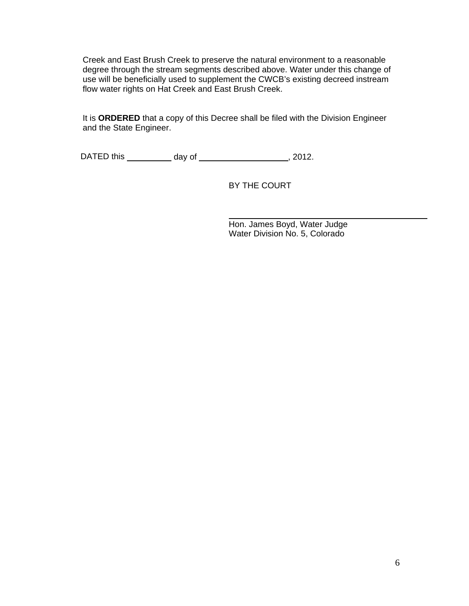Creek and East Brush Creek to preserve the natural environment to a reasonable degree through the stream segments described above. Water under this change of use will be beneficially used to supplement the CWCB's existing decreed instream flow water rights on Hat Creek and East Brush Creek.

It is **ORDERED** that a copy of this Decree shall be filed with the Division Engineer and the State Engineer.

DATED this \_\_\_\_\_\_\_\_\_\_\_ day of \_\_\_\_\_\_\_\_\_\_\_\_\_\_\_\_\_\_\_\_\_\_, 2012.

BY THE COURT

 Hon. James Boyd, Water Judge Water Division No. 5, Colorado